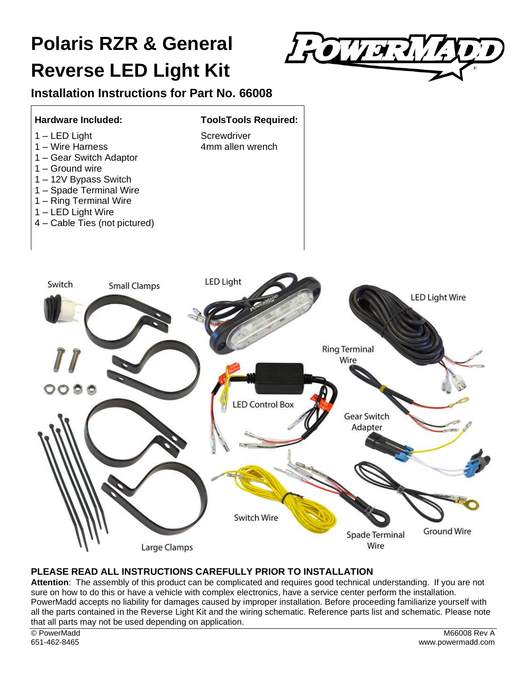# **Polaris RZR & General Reverse LED Light Kit**



# **Installation Instructions for Part No. 66008**



#### **PLEASE READ ALL INSTRUCTIONS CAREFULLY PRIOR TO INSTALLATION**

**Attention**: The assembly of this product can be complicated and requires good technical understanding. If you are not sure on how to do this or have a vehicle with complex electronics, have a service center perform the installation. PowerMadd accepts no liability for damages caused by improper installation. Before proceeding familiarize yourself with all the parts contained in the Reverse Light Kit and the wiring schematic. Reference parts list and schematic. Please note that all parts may not be used depending on application.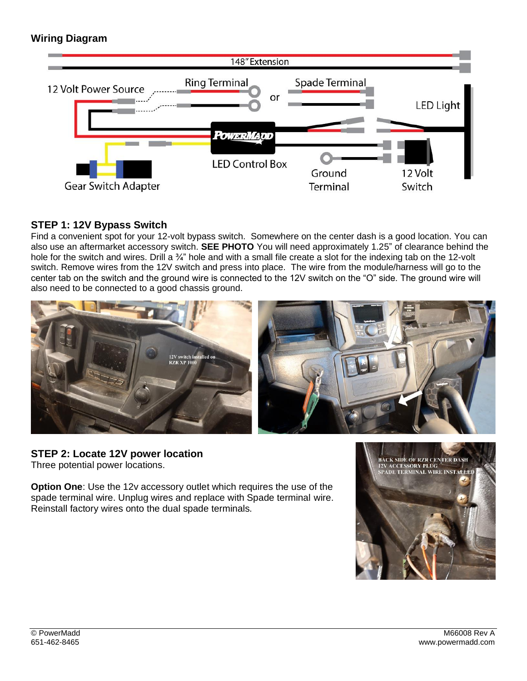# **Wiring Diagram**



#### **STEP 1: 12V Bypass Switch**

Find a convenient spot for your 12-volt bypass switch. Somewhere on the center dash is a good location. You can also use an aftermarket accessory switch. **SEE PHOTO** You will need approximately 1.25" of clearance behind the hole for the switch and wires. Drill a  $\frac{3}{4}$ " hole and with a small file create a slot for the indexing tab on the 12-volt switch. Remove wires from the 12V switch and press into place. The wire from the module/harness will go to the center tab on the switch and the ground wire is connected to the 12V switch on the "O" side. The ground wire will also need to be connected to a good chassis ground.



#### **STEP 2: Locate 12V power location** Three potential power locations.

**Option One**: Use the 12v accessory outlet which requires the use of the spade terminal wire. Unplug wires and replace with Spade terminal wire. Reinstall factory wires onto the dual spade terminals.

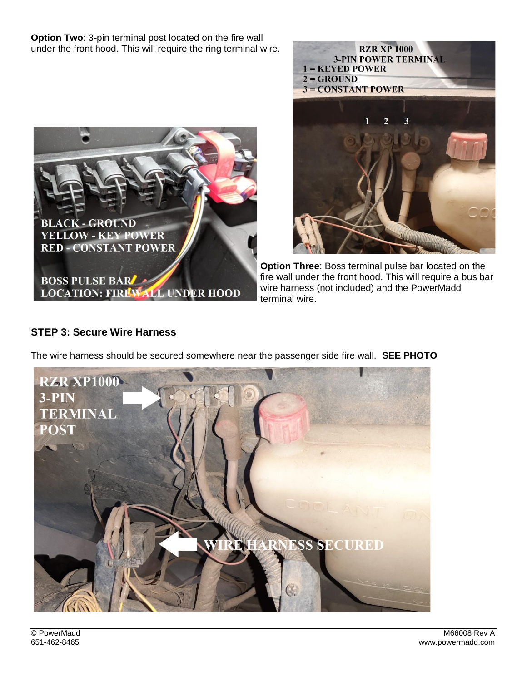**Option Two**: 3-pin terminal post located on the fire wall under the front hood. This will require the ring terminal wire.





**Option Three**: Boss terminal pulse bar located on the fire wall under the front hood. This will require a bus bar wire harness (not included) and the PowerMadd terminal wire.

# **STEP 3: Secure Wire Harness**



The wire harness should be secured somewhere near the passenger side fire wall. **SEE PHOTO**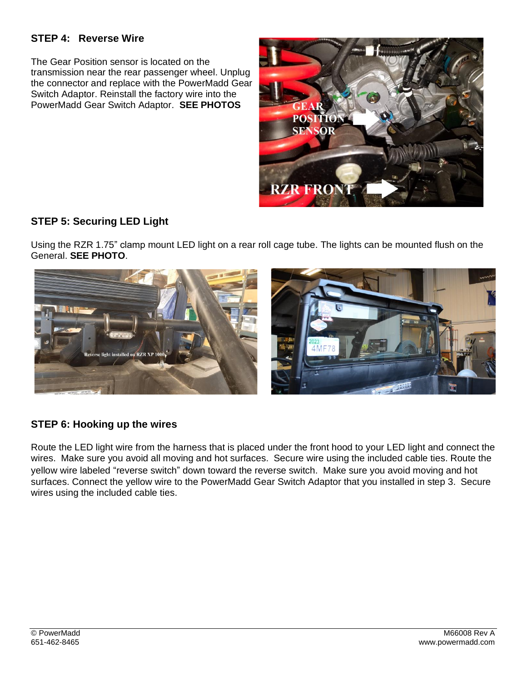## **STEP 4: Reverse Wire**

The Gear Position sensor is located on the transmission near the rear passenger wheel. Unplug the connector and replace with the PowerMadd Gear Switch Adaptor. Reinstall the factory wire into the PowerMadd Gear Switch Adaptor. **SEE PHOTOS**



## **STEP 5: Securing LED Light**

Using the RZR 1.75" clamp mount LED light on a rear roll cage tube. The lights can be mounted flush on the General. **SEE PHOTO**.



#### **STEP 6: Hooking up the wires**

Route the LED light wire from the harness that is placed under the front hood to your LED light and connect the wires. Make sure you avoid all moving and hot surfaces. Secure wire using the included cable ties. Route the yellow wire labeled "reverse switch" down toward the reverse switch. Make sure you avoid moving and hot surfaces. Connect the yellow wire to the PowerMadd Gear Switch Adaptor that you installed in step 3. Secure wires using the included cable ties.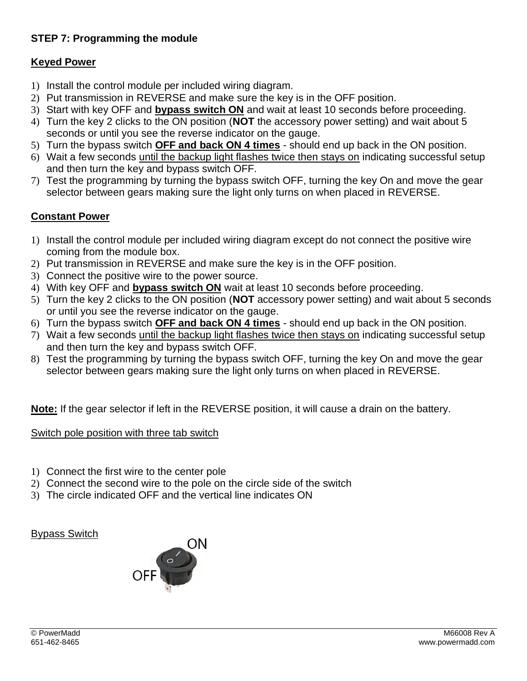# **STEP 7: Programming the module**

## **Keyed Power**

- 1) Install the control module per included wiring diagram.
- 2) Put transmission in REVERSE and make sure the key is in the OFF position.
- 3) Start with key OFF and **bypass switch ON** and wait at least 10 seconds before proceeding.
- 4) Turn the key 2 clicks to the ON position (**NOT** the accessory power setting) and wait about 5 seconds or until you see the reverse indicator on the gauge.
- 5) Turn the bypass switch **OFF and back ON 4 times** should end up back in the ON position.
- 6) Wait a few seconds until the backup light flashes twice then stays on indicating successful setup and then turn the key and bypass switch OFF.
- 7) Test the programming by turning the bypass switch OFF, turning the key On and move the gear selector between gears making sure the light only turns on when placed in REVERSE.

# **Constant Power**

- 1) Install the control module per included wiring diagram except do not connect the positive wire coming from the module box.
- 2) Put transmission in REVERSE and make sure the key is in the OFF position.
- 3) Connect the positive wire to the power source.
- 4) With key OFF and **bypass switch ON** wait at least 10 seconds before proceeding.
- 5) Turn the key 2 clicks to the ON position (**NOT** accessory power setting) and wait about 5 seconds or until you see the reverse indicator on the gauge.
- 6) Turn the bypass switch **OFF and back ON 4 times** should end up back in the ON position.
- 7) Wait a few seconds until the backup light flashes twice then stays on indicating successful setup and then turn the key and bypass switch OFF.
- 8) Test the programming by turning the bypass switch OFF, turning the key On and move the gear selector between gears making sure the light only turns on when placed in REVERSE.

**Note:** If the gear selector if left in the REVERSE position, it will cause a drain on the battery.

## Switch pole position with three tab switch

- 1) Connect the first wire to the center pole
- 2) Connect the second wire to the pole on the circle side of the switch
- 3) The circle indicated OFF and the vertical line indicates ON

## Bypass Switch